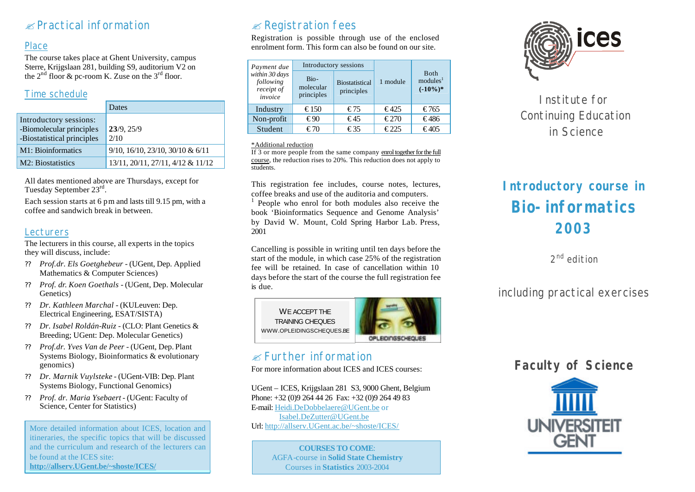# $\mathscr{\mathscr{E}}$  Practical information

## Place

The course takes place at Ghent University, campus Sterre, Krijgslaan 281, building S9, auditorium V2 on the  $2^{nd}$  floor & pc-room K. Zuse on the  $3^{rd}$  floor.

## Time schedule

|                                                                                  | Dates                                         |
|----------------------------------------------------------------------------------|-----------------------------------------------|
| Introductory sessions:<br>-Biomolecular principles<br>-Biostatistical principles | 23/9.25/9<br>2/10                             |
| M1: Bioinformatics                                                               | $9/10$ , $16/10$ , $23/10$ , $30/10$ & $6/11$ |
| M2: Biostatistics                                                                | 13/11, 20/11, 27/11, 4/12 & 11/12             |

All dates mentioned above are Thursdays, except for Tuesday September 23<sup>rd</sup>.

Each session starts at 6 pm and lasts till 9.15 pm, with a coffee and sandwich break in between.

#### **Lecturers**

The lecturers in this course, all experts in the topics they will discuss, include:

- ?? *Prof.dr. Els Goetghebeur -* (UGent, Dep. Applied Mathematics & Computer Sciences)
- ?? *Prof. dr. Koen Goethals -* (UGent, Dep. Molecular Genetics)
- ?? *Dr. Kathleen Marchal* (KULeuven: Dep. Electrical Engineering, ESAT/SISTA)
- ?? *Dr. Isabel Roldán-Ruiz* (CLO: Plant Genetics & Breeding; UGent: Dep. Molecular Genetics)
- ?? *Prof.dr. Yves Van de Peer* (UGent, Dep. Plant Systems Biology, Bioinformatics & evolutionary genomics)
- ?? *Dr. Marnik Vuylsteke* (UGent-VIB: Dep. Plant Systems Biology, Functional Genomics)
- ?? *Prof. dr. Maria Ysebaert -* (UGent: Faculty of Science, Center for Statistics)

More detailed information about ICES, location and itineraries, the specific topics that will be discussed and the curriculum and research of the lecturers can be found at the ICES site: **http://allserv.UGent.be/~shoste/ICES/**

# $\mathscr{A}$  Registration fees

Registration is possible through use of the enclosed enrolment form. This form can also be found on our site.

| Payment due<br>within 30 days<br>following<br>receipt of<br>invoice | Introductory sessions           |                                     |                |                                                    |
|---------------------------------------------------------------------|---------------------------------|-------------------------------------|----------------|----------------------------------------------------|
|                                                                     | Bio-<br>molecular<br>principles | <b>Biostatistical</b><br>principles | 1 module       | <b>B</b> oth<br>modules <sup>1</sup><br>$(-10\%)*$ |
| Industry                                                            | $\epsilon$ 150                  | €75                                 | $\epsilon$ 425 | €765                                               |
| Non-profit                                                          | € $90$                          | $\epsilon$ 45                       | €270           | €486                                               |
| Student                                                             | €70                             | €35                                 | $\epsilon$ 225 | €405                                               |

#### \*Additional reduction

If 3 or more people from the same company enrol together for the full course, the reduction rises to 20%. This reduction does not apply to students.

This registration fee includes, course notes, lectures, coffee breaks and use of the auditoria and computers.

1 People who enrol for both modules also receive the book 'Bioinformatics Sequence and Genome Analysis' by David W. Mount, Cold Spring Harbor Lab. Press, 2001

Cancelling is possible in writing until ten days before the start of the module, in which case 25% of the registration fee will be retained. In case of cancellation within 10 days before the start of the course the full registration fee is due.



## $\alpha$  Further information

For more information about ICES and ICES courses:

UGent – ICES, Krijgslaan 281 S3, 9000 Ghent, Belgium Phone: +32 (0)9 264 44 26 Fax: +32 (0)9 264 49 83 E-mail: Heidi.DeDobbelaere@UGent.be or Isabel.DeZutter@UGent.be Url: http://allserv.UGent.ac.be/~shoste/ICES/

> **COURSES TO COME**: AGFA-course in **Solid State Chemistry** Courses in **Statistics** 2003-2004



Institute for Continuing Education in Science

# **Introductory course in Bio-informatics 2003**

2<sup>nd</sup> edition

including practical exercises

# **Faculty of Science**